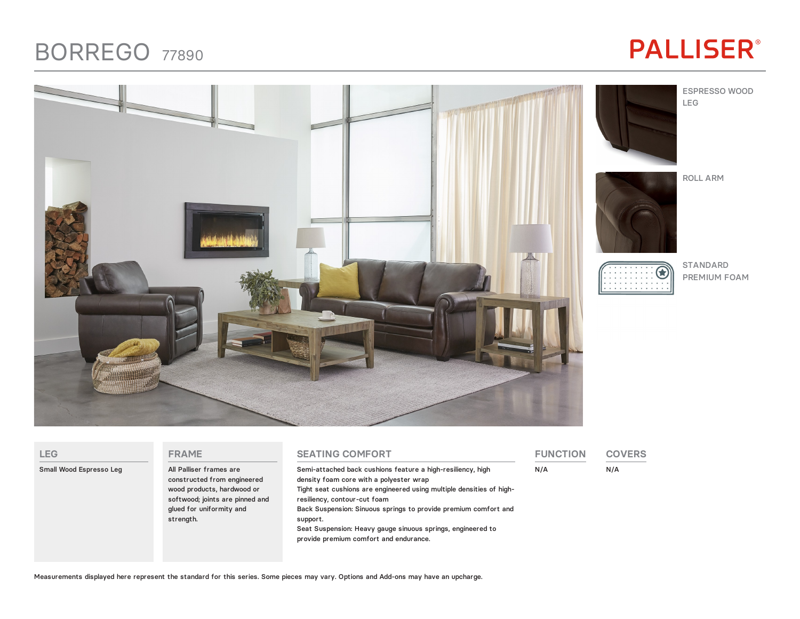### **BORREGO 77890**

# **PALLISER®**



| <b>LEG</b>              | <b>FRAME</b>                                                                                                                                                     | <b>SEATING COMFORT</b>                                                                                                                                                                                                                                                                                                                                                                                 | <b>FUNCTION</b> | <b>COVERS</b> |
|-------------------------|------------------------------------------------------------------------------------------------------------------------------------------------------------------|--------------------------------------------------------------------------------------------------------------------------------------------------------------------------------------------------------------------------------------------------------------------------------------------------------------------------------------------------------------------------------------------------------|-----------------|---------------|
| Small Wood Espresso Leg | All Palliser frames are<br>constructed from engineered<br>wood products, hardwood or<br>softwood; joints are pinned and<br>glued for uniformity and<br>strength. | Semi-attached back cushions feature a high-resiliency, high<br>density foam core with a polyester wrap<br>Tight seat cushions are engineered using multiple densities of high-<br>resiliency, contour-cut foam<br>Back Suspension: Sinuous springs to provide premium comfort and<br>support.<br>Seat Suspension: Heavy gauge sinuous springs, engineered to<br>provide premium comfort and endurance. | N/A             | N/A           |

Measurements displayed here represent the standard for this series. Some pieces may vary. Options and Add-ons may have an upcharge.